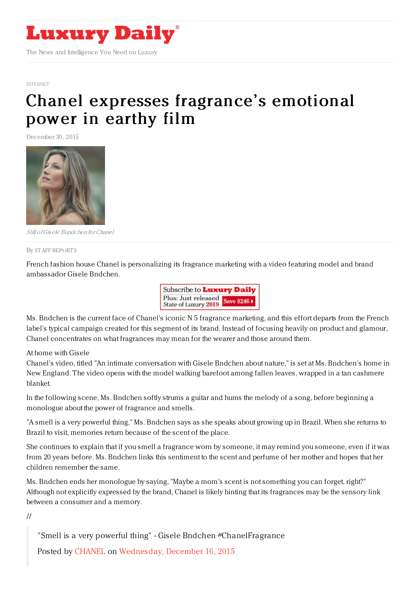

## [INTERNET](https://www.luxurydaily.com/category/news/internet-news/)

## Chanel expresses [fragrance's](https://www.luxurydaily.com/chanel-expresses-fragrances-emotional-power-in-earthy-film/) emotional power in earthy film

December 30, 2015



Still ofGisele Bundchen for Chanel

By STAFF [REPORT](file:///author/staff-reports) S

French fashion house Chanel is personalizing its fragrance marketing with a video featuring model and brand ambassador Gisele Bndchen.



Ms. Bndchen is the current face of Chanel's iconic N 5 fragrance marketing, and this effort departs from the French label's typical campaign created for this segment of its brand. Instead of focusing heavily on product and glamour, Chanel concentrates on what fragrances may mean for the wearer and those around them.

At home with Gisele

Chanel's video, titled "An intimate conversation with Gisele Bndchen about nature," is set at Ms. Bndchen's home in New England. The video opens with the model walking barefoot among fallen leaves, wrapped in a tan cashmere blanket.

In the following scene, Ms. Bndchen softly strums a guitar and hums the melody of a song, before beginning a monologue about the power of fragrance and smells.

"A smell is a very powerful thing," Ms. Bndchen says as she speaks about growing up in Brazil. When she returns to Brazil to visit, memories return because of the scent of the place.

She continues to explain that if you smell a fragrance worn by someone, it may remind you someone, even if it was from 20 years before. Ms. Bndchen links this sentiment to the scent and perfume of her mother and hopes that her children remember the same.

Ms. Bndchen ends her monologue by saying, "Maybe a mom's scent is not something you can forget, right?" Although not explicitly expressed by the brand, Chanel is likely hinting that its fragrances may be the sensory link between a consumer and a memory.

//

"Smell is a very powerful thing" - Gisele Bndchen #ChanelFragrance

Posted by [CHANEL](https://www.facebook.com/chanel/) on [Wednesday,](https://www.facebook.com/chanel/videos/10153759097824235/) December 16, 2015